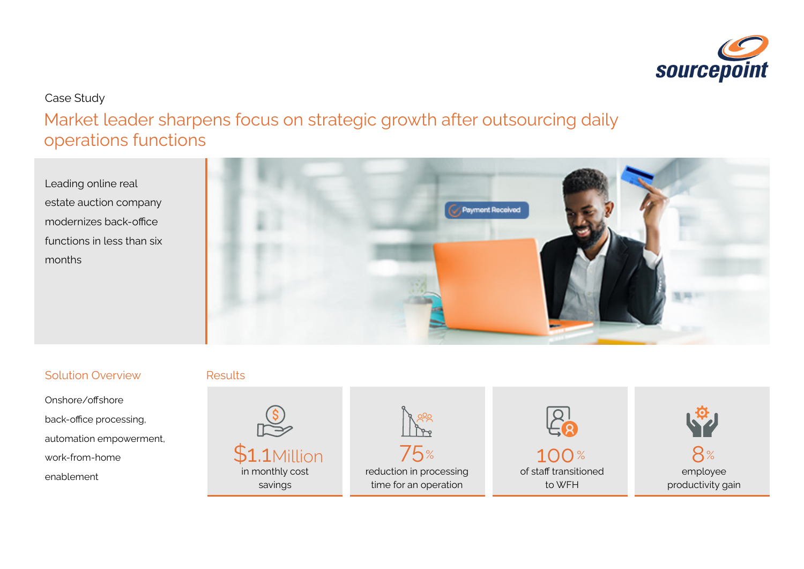

## Case Study

Market leader sharpens focus on strategic growth after outsourcing daily operations functions

Leading online real estate auction company modernizes back-office functions in less than six months



### Solution Overview

Onshore/offshore back-office processing, automation empowerment, work-from-home

#### Results

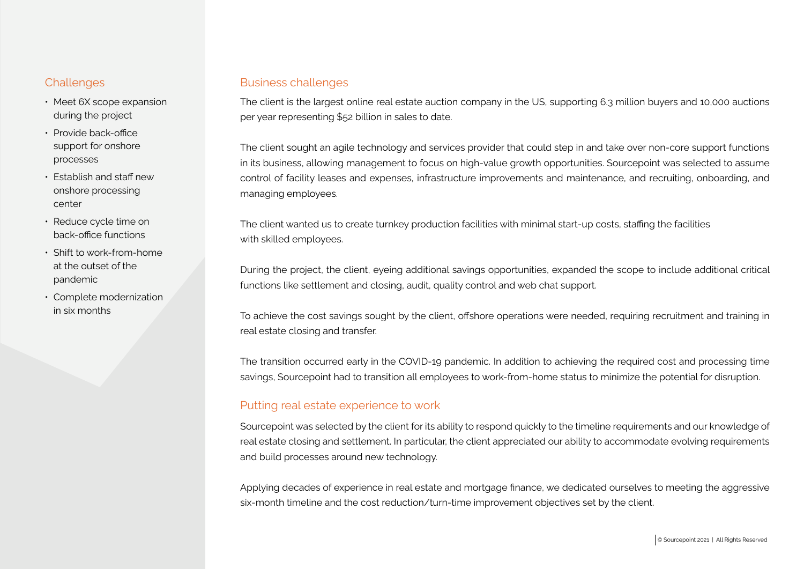- Meet 6X scope expansion during the project
- Provide back-office support for onshore processes
- Establish and staff new onshore processing center
- Reduce cycle time on back-office functions
- Shift to work-from-home at the outset of the pandemic
- Complete modernization in six months

#### Challenges **Business challenges**

The client is the largest online real estate auction company in the US, supporting 6.3 million buyers and 10,000 auctions per year representing \$52 billion in sales to date.

The client sought an agile technology and services provider that could step in and take over non-core support functions in its business, allowing management to focus on high-value growth opportunities. Sourcepoint was selected to assume control of facility leases and expenses, infrastructure improvements and maintenance, and recruiting, onboarding, and managing employees.

The client wanted us to create turnkey production facilities with minimal start-up costs, staffing the facilities with skilled employees.

During the project, the client, eyeing additional savings opportunities, expanded the scope to include additional critical functions like settlement and closing, audit, quality control and web chat support.

To achieve the cost savings sought by the client, offshore operations were needed, requiring recruitment and training in real estate closing and transfer.

The transition occurred early in the COVID-19 pandemic. In addition to achieving the required cost and processing time savings, Sourcepoint had to transition all employees to work-from-home status to minimize the potential for disruption.

#### Putting real estate experience to work

Sourcepoint was selected by the client for its ability to respond quickly to the timeline requirements and our knowledge of real estate closing and settlement. In particular, the client appreciated our ability to accommodate evolving requirements and build processes around new technology.

Applying decades of experience in real estate and mortgage finance, we dedicated ourselves to meeting the aggressive six-month timeline and the cost reduction/turn-time improvement objectives set by the client.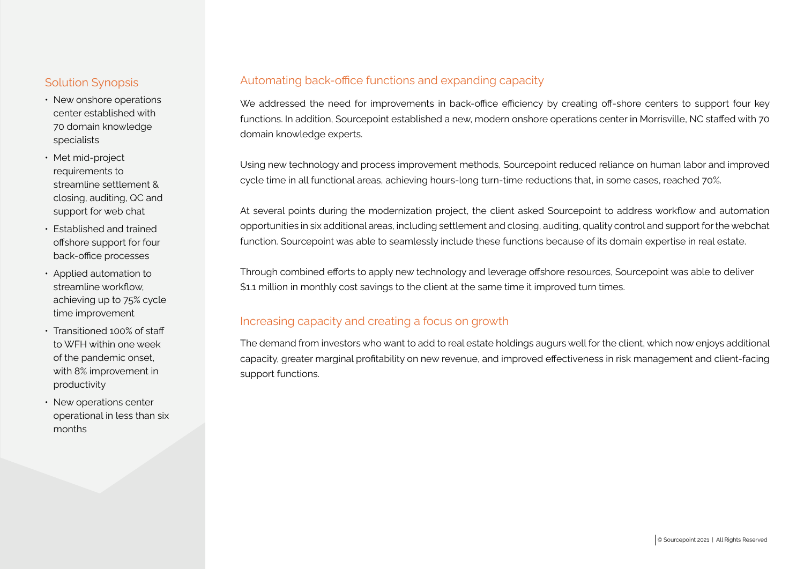#### Solution Synopsis

- New onshore operations center established with 70 domain knowledge specialists
- Met mid-project requirements to streamline settlement & closing, auditing, QC and support for web chat
- Established and trained offshore support for four back-office processes
- Applied automation to streamline workflow, achieving up to 75% cycle time improvement
- Transitioned 100% of staff to WFH within one week of the pandemic onset, with 8% improvement in productivity
- New operations center operational in less than six months

#### Automating back-office functions and expanding capacity

We addressed the need for improvements in back-office efficiency by creating off-shore centers to support four key functions. In addition, Sourcepoint established a new, modern onshore operations center in Morrisville, NC staffed with 70 domain knowledge experts.

Using new technology and process improvement methods, Sourcepoint reduced reliance on human labor and improved cycle time in all functional areas, achieving hours-long turn-time reductions that, in some cases, reached 70%.

At several points during the modernization project, the client asked Sourcepoint to address workflow and automation opportunities in six additional areas, including settlement and closing, auditing, quality control and support for the webchat function. Sourcepoint was able to seamlessly include these functions because of its domain expertise in real estate.

Through combined efforts to apply new technology and leverage offshore resources, Sourcepoint was able to deliver \$1.1 million in monthly cost savings to the client at the same time it improved turn times.

#### Increasing capacity and creating a focus on growth

The demand from investors who want to add to real estate holdings augurs well for the client, which now enjoys additional capacity, greater marginal profitability on new revenue, and improved effectiveness in risk management and client-facing support functions.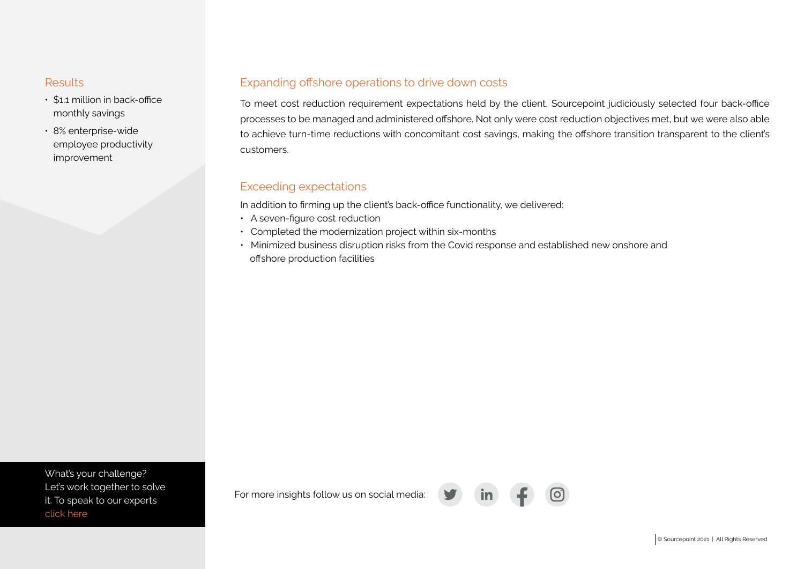- \$1.1 million in back-office monthly savings
- 8% enterprise-wide employee productivity improvement

### Results **Expanding offshore operations to drive down costs**

To meet cost reduction requirement expectations held by the client, Sourcepoint judiciously selected four back-office processes to be managed and administered offshore. Not only were cost reduction objectives met, but we were also able to achieve turn-time reductions with concomitant cost savings, making the offshore transition transparent to the client's customers.

#### Exceeding expectations

In addition to firming up the client's back-office functionality, we delivered:

- A seven-figure cost reduction
- Completed the modernization project within six-months
- Minimized business disruption risks from the Covid response and established new onshore and offshore production facilities

What's your challenge? [Let's work together to solve](https://www.sourcepointmortgage.com/contact/)  it. To speak to our experts click here

For more insights follow us on social media: